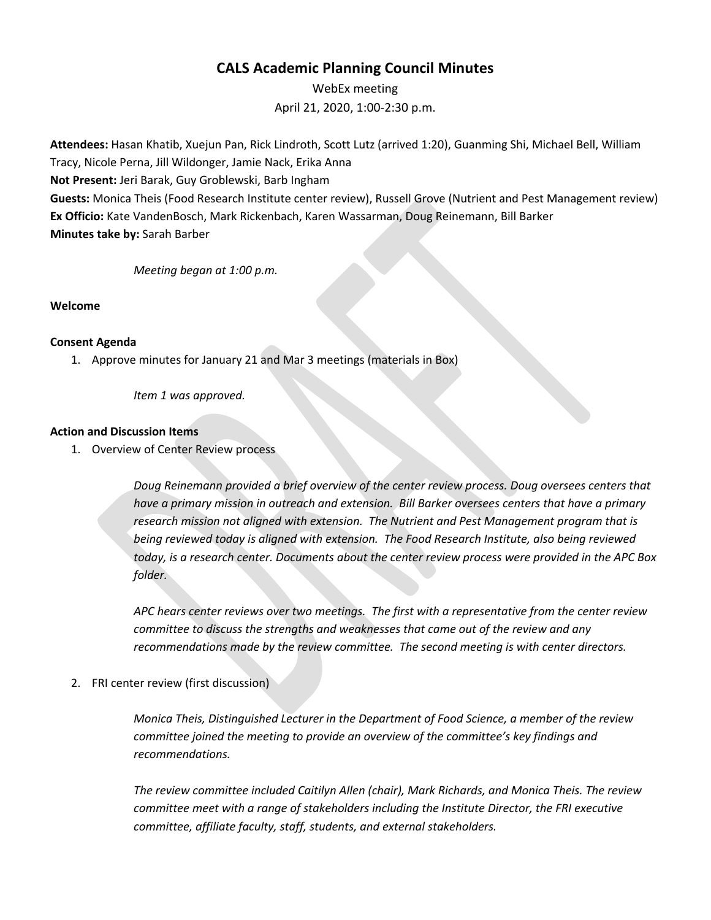# **CALS Academic Planning Council Minutes**

WebEx meeting April 21, 2020, 1:00-2:30 p.m.

**Attendees:** Hasan Khatib, Xuejun Pan, Rick Lindroth, Scott Lutz (arrived 1:20), Guanming Shi, Michael Bell, William Tracy, Nicole Perna, Jill Wildonger, Jamie Nack, Erika Anna

**Not Present:** Jeri Barak, Guy Groblewski, Barb Ingham

**Guests:** Monica Theis (Food Research Institute center review), Russell Grove (Nutrient and Pest Management review) **Ex Officio:** Kate VandenBosch, Mark Rickenbach, Karen Wassarman, Doug Reinemann, Bill Barker **Minutes take by:** Sarah Barber

*Meeting began at 1:00 p.m.*

## **Welcome**

#### **Consent Agenda**

1. Approve minutes for January 21 and Mar 3 meetings (materials in Box)

*Item 1 was approved.*

#### **Action and Discussion Items**

1. Overview of Center Review process

*Doug Reinemann provided a brief overview of the center review process. Doug oversees centers that have a primary mission in outreach and extension. Bill Barker oversees centers that have a primary research mission not aligned with extension. The Nutrient and Pest Management program that is being reviewed today is aligned with extension. The Food Research Institute, also being reviewed today, is a research center. Documents about the center review process were provided in the APC Box folder.* 

*APC hears center reviews over two meetings. The first with a representative from the center review committee to discuss the strengths and weaknesses that came out of the review and any recommendations made by the review committee. The second meeting is with center directors.*

2. FRI center review (first discussion)

*Monica Theis, Distinguished Lecturer in the Department of Food Science, a member of the review committee joined the meeting to provide an overview of the committee's key findings and recommendations.*

*The review committee included Caitilyn Allen (chair), Mark Richards, and Monica Theis. The review committee meet with a range of stakeholders including the Institute Director, the FRI executive committee, affiliate faculty, staff, students, and external stakeholders.*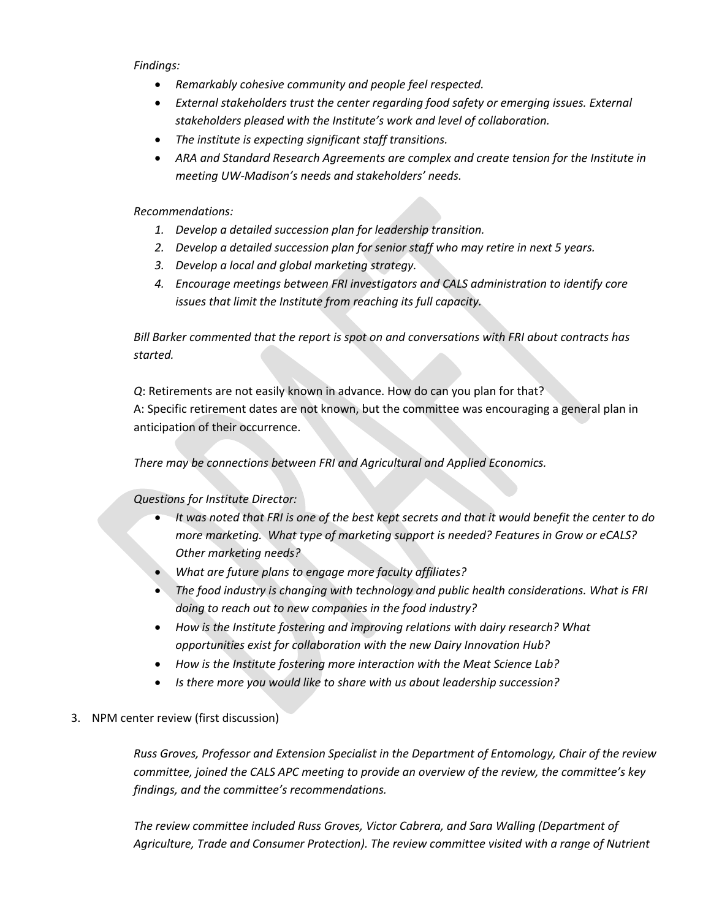*Findings:* 

- *Remarkably cohesive community and people feel respected.*
- *External stakeholders trust the center regarding food safety or emerging issues. External stakeholders pleased with the Institute's work and level of collaboration.*
- *The institute is expecting significant staff transitions.*
- *ARA and Standard Research Agreements are complex and create tension for the Institute in meeting UW-Madison's needs and stakeholders' needs.*

*Recommendations:* 

- *1. Develop a detailed succession plan for leadership transition.*
- *2. Develop a detailed succession plan for senior staff who may retire in next 5 years.*
- *3. Develop a local and global marketing strategy.*
- *4. Encourage meetings between FRI investigators and CALS administration to identify core issues that limit the Institute from reaching its full capacity.*

*Bill Barker commented that the report is spot on and conversations with FRI about contracts has started.* 

*Q*: Retirements are not easily known in advance. How do can you plan for that? A: Specific retirement dates are not known, but the committee was encouraging a general plan in anticipation of their occurrence.

*There may be connections between FRI and Agricultural and Applied Economics.* 

*Questions for Institute Director:* 

- *It was noted that FRI is one of the best kept secrets and that it would benefit the center to do more marketing. What type of marketing support is needed? Features in Grow or eCALS? Other marketing needs?*
- *What are future plans to engage more faculty affiliates?*
- *The food industry is changing with technology and public health considerations. What is FRI doing to reach out to new companies in the food industry?*
- *How is the Institute fostering and improving relations with dairy research? What opportunities exist for collaboration with the new Dairy Innovation Hub?*
- *How is the Institute fostering more interaction with the Meat Science Lab?*
- *Is there more you would like to share with us about leadership succession?*
- 3. NPM center review (first discussion)

*Russ Groves, Professor and Extension Specialist in the Department of Entomology, Chair of the review committee, joined the CALS APC meeting to provide an overview of the review, the committee's key findings, and the committee's recommendations.* 

*The review committee included Russ Groves, Victor Cabrera, and Sara Walling (Department of Agriculture, Trade and Consumer Protection). The review committee visited with a range of Nutrient*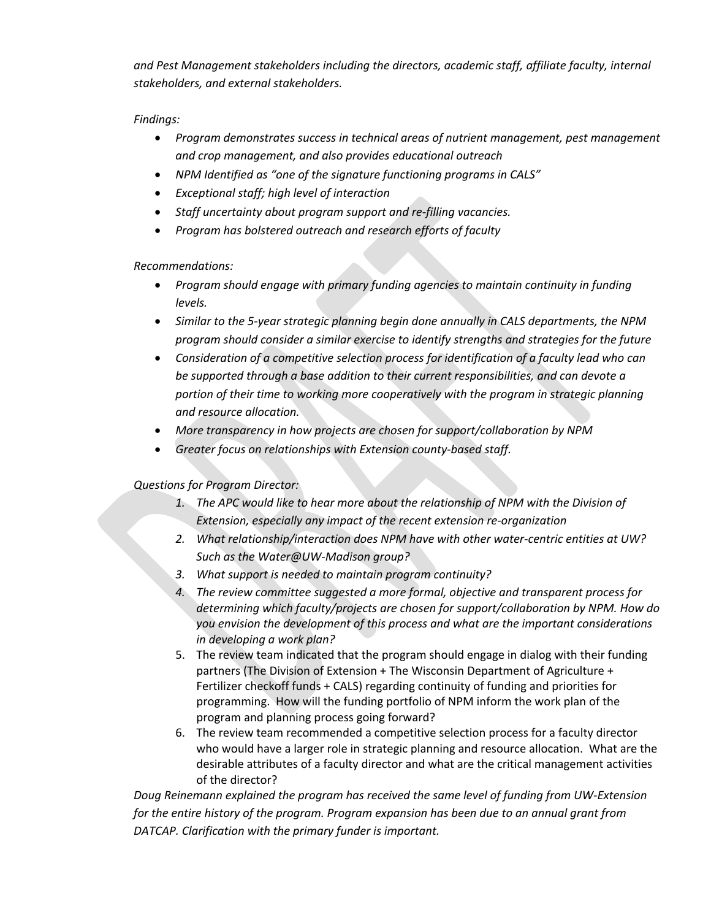*and Pest Management stakeholders including the directors, academic staff, affiliate faculty, internal stakeholders, and external stakeholders.* 

# *Findings:*

- *Program demonstrates success in technical areas of nutrient management, pest management and crop management, and also provides educational outreach*
- *NPM Identified as "one of the signature functioning programs in CALS"*
- *Exceptional staff; high level of interaction*
- *Staff uncertainty about program support and re-filling vacancies.*
- *Program has bolstered outreach and research efforts of faculty*

*Recommendations:* 

- *Program should engage with primary funding agencies to maintain continuity in funding levels.*
- *Similar to the 5-year strategic planning begin done annually in CALS departments, the NPM program should consider a similar exercise to identify strengths and strategies for the future*
- *Consideration of a competitive selection process for identification of a faculty lead who can be supported through a base addition to their current responsibilities, and can devote a portion of their time to working more cooperatively with the program in strategic planning and resource allocation.*
- *More transparency in how projects are chosen for support/collaboration by NPM*
- *Greater focus on relationships with Extension county-based staff.*

*Questions for Program Director:* 

- *1. The APC would like to hear more about the relationship of NPM with the Division of Extension, especially any impact of the recent extension re-organization*
- *2. What relationship/interaction does NPM have with other water-centric entities at UW? Such as the Water@UW-Madison group?*
- *3. What support is needed to maintain program continuity?*
- *4. The review committee suggested a more formal, objective and transparent process for determining which faculty/projects are chosen for support/collaboration by NPM. How do you envision the development of this process and what are the important considerations in developing a work plan?*
- 5. The review team indicated that the program should engage in dialog with their funding partners (The Division of Extension + The Wisconsin Department of Agriculture + Fertilizer checkoff funds + CALS) regarding continuity of funding and priorities for programming. How will the funding portfolio of NPM inform the work plan of the program and planning process going forward?
- 6. The review team recommended a competitive selection process for a faculty director who would have a larger role in strategic planning and resource allocation. What are the desirable attributes of a faculty director and what are the critical management activities of the director?

*Doug Reinemann explained the program has received the same level of funding from UW-Extension for the entire history of the program. Program expansion has been due to an annual grant from DATCAP. Clarification with the primary funder is important.*